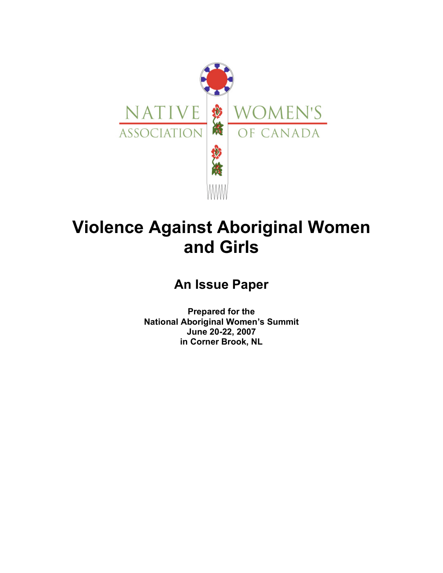

# **Violence Against Aboriginal Women and Girls**

# **An Issue Paper**

**Prepared for the National Aboriginal Women's Summit June 20-22, 2007 in Corner Brook, NL**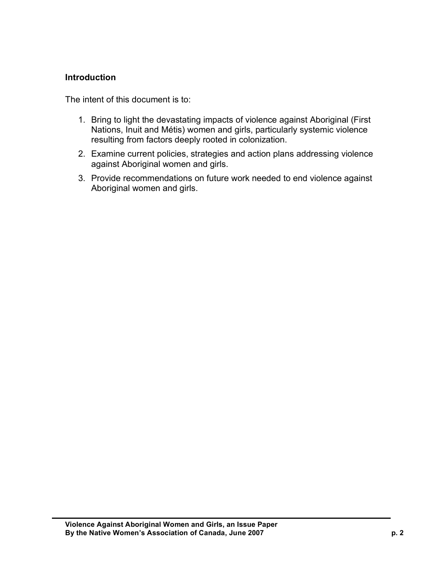### **Introduction**

The intent of this document is to:

- 1. Bring to light the devastating impacts of violence against Aboriginal (First Nations, Inuit and Métis) women and girls, particularly systemic violence resulting from factors deeply rooted in colonization.
- 2. Examine current policies, strategies and action plans addressing violence against Aboriginal women and girls.
- 3. Provide recommendations on future work needed to end violence against Aboriginal women and girls.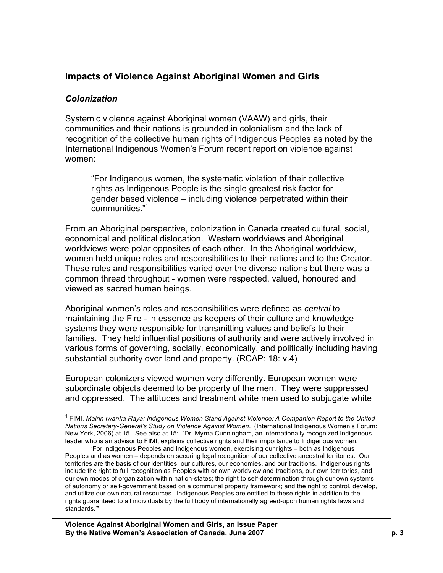# **Impacts of Violence Against Aboriginal Women and Girls**

#### *Colonization*

Systemic violence against Aboriginal women (VAAW) and girls, their communities and their nations is grounded in colonialism and the lack of recognition of the collective human rights of Indigenous Peoples as noted by the International Indigenous Women's Forum recent report on violence against women:

"For Indigenous women, the systematic violation of their collective rights as Indigenous People is the single greatest risk factor for gender based violence – including violence perpetrated within their communities." 1

From an Aboriginal perspective, colonization in Canada created cultural, social, economical and political dislocation. Western worldviews and Aboriginal worldviews were polar opposites of each other. In the Aboriginal worldview, women held unique roles and responsibilities to their nations and to the Creator. These roles and responsibilities varied over the diverse nations but there was a common thread throughout - women were respected, valued, honoured and viewed as sacred human beings.

Aboriginal women's roles and responsibilities were defined as *central* to maintaining the Fire - in essence as keepers of their culture and knowledge systems they were responsible for transmitting values and beliefs to their families. They held influential positions of authority and were actively involved in various forms of governing, socially, economically, and politically including having substantial authority over land and property. (RCAP: 18: v.4)

European colonizers viewed women very differently. European women were subordinate objects deemed to be property of the men. They were suppressed and oppressed. The attitudes and treatment white men used to subjugate white

<sup>1</sup> FIMI, *Mairin Iwanka Raya: Indigenous Women Stand Against Violence: <sup>A</sup> Companion Report to the United Nations Secretary-General's Study on Violence Against Women*. (International Indigenous Women's Forum: New York, 2006) at 15. See also at 15: "Dr. Myrna Cunningham, an internationally recognized Indigenous leader who is an advisor to FIMI, explains collective rights and their importance to Indigenous women:

<sup>&#</sup>x27;For Indigenous Peoples and Indigenous women, exercising our rights – both as Indigenous Peoples and as women – depends on securing legal recognition of our collective ancestral territories. Our territories are the basis of our identities, our cultures, our economies, and our traditions. Indigenous rights include the right to full recognition as Peoples with or own worldview and traditions, our own territories, and our own modes of organization within nation-states; the right to self-determination through our own systems of autonomy or self-government based on a communal property framework; and the right to control, develop, and utilize our own natural resources. Indigenous Peoples are entitled to these rights in addition to the rights guaranteed to all individuals by the full body of internationally agreed-upon human rights laws and standards.'"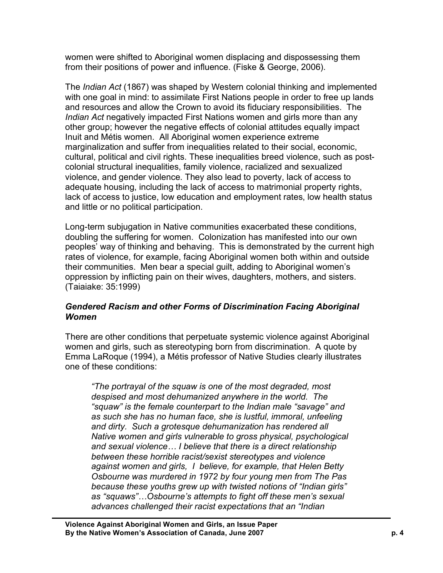women were shifted to Aboriginal women displacing and dispossessing them from their positions of power and influence. (Fiske & George, 2006).

The *Indian Act* (1867) was shaped by Western colonial thinking and implemented with one goal in mind: to assimilate First Nations people in order to free up lands and resources and allow the Crown to avoid its fiduciary responsibilities. The *Indian Act* negatively impacted First Nations women and girls more than any other group; however the negative effects of colonial attitudes equally impact Inuit and Métis women. All Aboriginal women experience extreme marginalization and suffer from inequalities related to their social, economic, cultural, political and civil rights. These inequalities breed violence, such as postcolonial structural inequalities, family violence, racialized and sexualized violence, and gender violence. They also lead to poverty, lack of access to adequate housing, including the lack of access to matrimonial property rights, lack of access to justice, low education and employment rates, low health status and little or no political participation.

Long-term subjugation in Native communities exacerbated these conditions, doubling the suffering for women. Colonization has manifested into our own peoples' way of thinking and behaving. This is demonstrated by the current high rates of violence, for example, facing Aboriginal women both within and outside their communities. Men bear a special guilt, adding to Aboriginal women's oppression by inflicting pain on their wives, daughters, mothers, and sisters. (Taiaiake: 35:1999)

### *Gendered Racism and other Forms of Discrimination Facing Aboriginal Women*

There are other conditions that perpetuate systemic violence against Aboriginal women and girls, such as stereotyping born from discrimination. A quote by Emma LaRoque (1994), a Métis professor of Native Studies clearly illustrates one of these conditions:

*"The portrayal of the squaw is one of the most degraded, most despised and most dehumanized anywhere in the world. The "squaw" is the female counterpart to the Indian male "savage" and as such she has no human face, she is lustful, immoral, unfeeling and dirty. Such a grotesque dehumanization has rendered all Native women and girls vulnerable to gross physical, psychological and sexual violence… I believe that there is a direct relationship between these horrible racist/sexist stereotypes and violence against women and girls, I believe, for example, that Helen Betty Osbourne was murdered in 1972 by four young men from The Pas because these youths grew up with twisted notions of "Indian girls" as "squaws"…Osbourne's attempts to fight off these men's sexual advances challenged their racist expectations that an "Indian*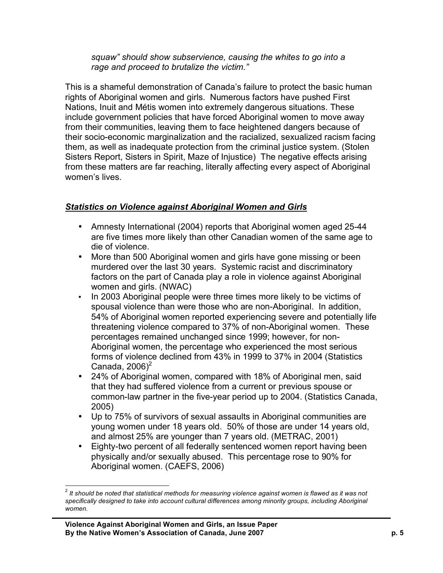*squaw" should show subservience, causing the whites to go into a rage and proceed to brutalize the victim."*

This is a shameful demonstration of Canada's failure to protect the basic human rights of Aboriginal women and girls. Numerous factors have pushed First Nations, Inuit and Métis women into extremely dangerous situations. These include government policies that have forced Aboriginal women to move away from their communities, leaving them to face heightened dangers because of their socio-economic marginalization and the racialized, sexualized racism facing them, as well as inadequate protection from the criminal justice system. (Stolen Sisters Report, Sisters in Spirit, Maze of Injustice) The negative effects arising from these matters are far reaching, literally affecting every aspect of Aboriginal women's lives.

## *Statistics on Violence against Aboriginal Women and Girls*

- Amnesty International (2004) reports that Aboriginal women aged 25-44 are five times more likely than other Canadian women of the same age to die of violence.
- More than 500 Aboriginal women and girls have gone missing or been murdered over the last 30 years. Systemic racist and discriminatory factors on the part of Canada play a role in violence against Aboriginal women and girls. (NWAC)
- In 2003 Aboriginal people were three times more likely to be victims of spousal violence than were those who are non-Aboriginal. In addition, 54% of Aboriginal women reported experiencing severe and potentially life threatening violence compared to 37% of non-Aboriginal women. These percentages remained unchanged since 1999; however, for non-Aboriginal women, the percentage who experienced the most serious forms of violence declined from 43% in 1999 to 37% in 2004 (Statistics Canada,  $2006)^2$
- 24% of Aboriginal women, compared with 18% of Aboriginal men, said that they had suffered violence from a current or previous spouse or common-law partner in the five-year period up to 2004. (Statistics Canada, 2005)
- Up to 75% of survivors of sexual assaults in Aboriginal communities are young women under 18 years old. 50% of those are under 14 years old, and almost 25% are younger than 7 years old. (METRAC, 2001)
- Eighty-two percent of all federally sentenced women report having been physically and/or sexually abused. This percentage rose to 90% for Aboriginal women. (CAEFS, 2006)

 $2$  It should be noted that statistical methods for measuring violence against women is flawed as it was not *specifically designed to take into account cultural differences among minority groups, including Aboriginal women.*

**Violence Against Aboriginal Women and Girls, an Issue Paper By the Native Women's Association of Canada, June 2007 p. 5**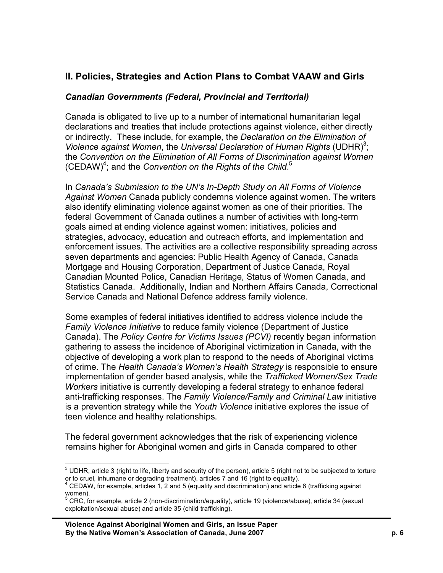# **II. Policies, Strategies and Action Plans to Combat VAAW and Girls**

#### *Canadian Governments (Federal, Provincial and Territorial)*

Canada is obligated to live up to a number of international humanitarian legal declarations and treaties that include protections against violence, either directly or indirectly. These include, for example, the *Declaration on the Elimination of Violence against Women*, the *Universal Declaration of Human Rights* (UDHR) 3 ; the *Convention on the Elimination of All Forms of Discrimination against Women* (CEDAW) 4 ; and the *Convention on the Rights of the Child*. 5

In *Canada's Submission to the UN's In-Depth Study on All Forms of Violence Against Women* Canada publicly condemns violence against women. The writers also identify eliminating violence against women as one of their priorities. The federal Government of Canada outlines a number of activities with long-term goals aimed at ending violence against women: initiatives, policies and strategies, advocacy, education and outreach efforts, and implementation and enforcement issues. The activities are a collective responsibility spreading across seven departments and agencies: Public Health Agency of Canada, Canada Mortgage and Housing Corporation, Department of Justice Canada, Royal Canadian Mounted Police, Canadian Heritage, Status of Women Canada, and Statistics Canada. Additionally, Indian and Northern Affairs Canada, Correctional Service Canada and National Defence address family violence.

Some examples of federal initiatives identified to address violence include the *Family Violence Initiative* to reduce family violence (Department of Justice Canada). The *Policy Centre for Victims Issues (PCVI)* recently began information gathering to assess the incidence of Aboriginal victimization in Canada, with the objective of developing a work plan to respond to the needs of Aboriginal victims of crime. The *Health Canada's Women's Health Strategy* is responsible to ensure implementation of gender based analysis, while the *Trafficked Women/Sex Trade Workers* initiative is currently developing a federal strategy to enhance federal anti-trafficking responses. The *Family Violence/Family and Criminal Law* initiative is a prevention strategy while the *Youth Violence* initiative explores the issue of teen violence and healthy relationships.

The federal government acknowledges that the risk of experiencing violence remains higher for Aboriginal women and girls in Canada compared to other

 $3$  UDHR, article 3 (right to life, liberty and security of the person), article 5 (right not to be subjected to torture or to cruel, inhumane or degrading treatment), articles 7 and 16 (right to equality).<br><sup>4</sup> CEDAW, for example, articles 1, 2 and 5 (equality and discrimination) and article 6 (trafficking against

women).<br><sup>5</sup> CRC, for example, article 2 (non-discrimination/equality), article 19 (violence/abuse), article 34 (sexual

exploitation/sexual abuse) and article 35 (child trafficking).

**Violence Against Aboriginal Women and Girls, an Issue Paper By the Native Women's Association of Canada, June 2007 p. 6**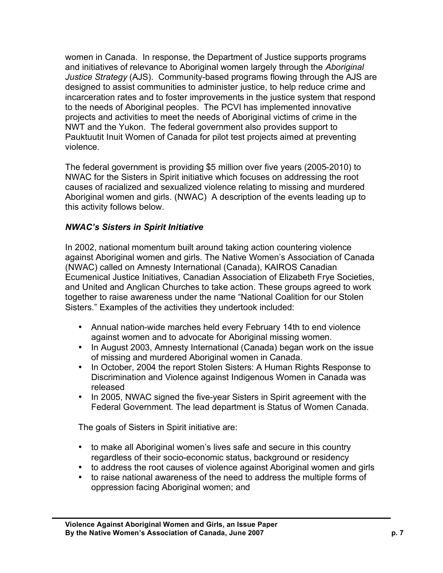women in Canada. In response, the Department of Justice supports programs and initiatives of relevance to Aboriginal women largely through the *Aboriginal Justice Strategy* (AJS). Community-based programs flowing through the AJS are designed to assist communities to administer justice, to help reduce crime and incarceration rates and to foster improvements in the justice system that respond to the needs of Aboriginal peoples. The PCVI has implemented innovative projects and activities to meet the needs of Aboriginal victims of crime in the NWT and the Yukon. The federal government also provides support to Pauktuutit Inuit Women of Canada for pilot test projects aimed at preventing violence.

The federal government is providing \$5 million over five years (2005-2010) to NWAC for the Sisters in Spirit initiative which focuses on addressing the root causes of racialized and sexualized violence relating to missing and murdered Aboriginal women and girls. (NWAC) A description of the events leading up to this activity follows below.

### *NWAC's Sisters in Spirit Initiative*

In 2002, national momentum built around taking action countering violence against Aboriginal women and girls. The Native Women's Association of Canada (NWAC) called on Amnesty International (Canada), KAIROS Canadian Ecumenical Justice Initiatives, Canadian Association of Elizabeth Frye Societies, and United and Anglican Churches to take action. These groups agreed to work together to raise awareness under the name "National Coalition for our Stolen Sisters." Examples of the activities they undertook included:

- Annual nation-wide marches held every February 14th to end violence against women and to advocate for Aboriginal missing women.
- In August 2003, Amnesty International (Canada) began work on the issue of missing and murdered Aboriginal women in Canada.
- In October, 2004 the report Stolen Sisters: A Human Rights Response to Discrimination and Violence against Indigenous Women in Canada was released
- In 2005, NWAC signed the five-year Sisters in Spirit agreement with the Federal Government. The lead department is Status of Women Canada.

The goals of Sisters in Spirit initiative are:

- to make all Aboriginal women's lives safe and secure in this country regardless of their socio-economic status, background or residency
- to address the root causes of violence against Aboriginal women and girls
- to raise national awareness of the need to address the multiple forms of oppression facing Aboriginal women; and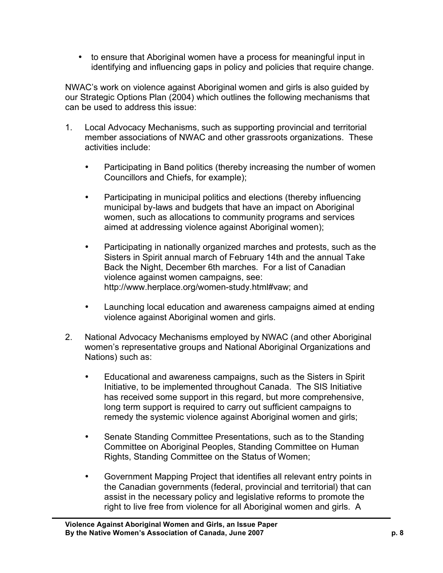• to ensure that Aboriginal women have a process for meaningful input in identifying and influencing gaps in policy and policies that require change.

NWAC's work on violence against Aboriginal women and girls is also guided by our Strategic Options Plan (2004) which outlines the following mechanisms that can be used to address this issue:

- 1. Local Advocacy Mechanisms, such as supporting provincial and territorial member associations of NWAC and other grassroots organizations. These activities include:
	- Participating in Band politics (thereby increasing the number of women Councillors and Chiefs, for example);
	- Participating in municipal politics and elections (thereby influencing municipal by-laws and budgets that have an impact on Aboriginal women, such as allocations to community programs and services aimed at addressing violence against Aboriginal women);
	- Participating in nationally organized marches and protests, such as the Sisters in Spirit annual march of February 14th and the annual Take Back the Night, December 6th marches. For a list of Canadian violence against women campaigns, see: http://www.herplace.org/women-study.html#vaw; and
	- Launching local education and awareness campaigns aimed at ending violence against Aboriginal women and girls.
- 2. National Advocacy Mechanisms employed by NWAC (and other Aboriginal women's representative groups and National Aboriginal Organizations and Nations) such as:
	- Educational and awareness campaigns, such as the Sisters in Spirit Initiative, to be implemented throughout Canada. The SIS Initiative has received some support in this regard, but more comprehensive, long term support is required to carry out sufficient campaigns to remedy the systemic violence against Aboriginal women and girls;
	- Senate Standing Committee Presentations, such as to the Standing Committee on Aboriginal Peoples, Standing Committee on Human Rights, Standing Committee on the Status of Women;
	- Government Mapping Project that identifies all relevant entry points in the Canadian governments (federal, provincial and territorial) that can assist in the necessary policy and legislative reforms to promote the right to live free from violence for all Aboriginal women and girls. A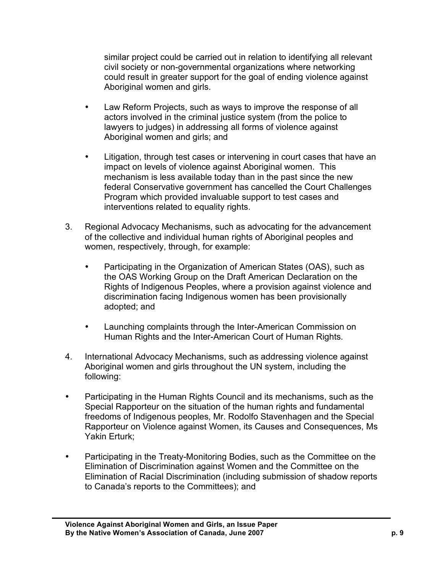similar project could be carried out in relation to identifying all relevant civil society or non-governmental organizations where networking could result in greater support for the goal of ending violence against Aboriginal women and girls.

- Law Reform Projects, such as ways to improve the response of all actors involved in the criminal justice system (from the police to lawyers to judges) in addressing all forms of violence against Aboriginal women and girls; and
- Litigation, through test cases or intervening in court cases that have an impact on levels of violence against Aboriginal women. This mechanism is less available today than in the past since the new federal Conservative government has cancelled the Court Challenges Program which provided invaluable support to test cases and interventions related to equality rights.
- 3. Regional Advocacy Mechanisms, such as advocating for the advancement of the collective and individual human rights of Aboriginal peoples and women, respectively, through, for example:
	- Participating in the Organization of American States (OAS), such as the OAS Working Group on the Draft American Declaration on the Rights of Indigenous Peoples, where a provision against violence and discrimination facing Indigenous women has been provisionally adopted; and
	- Launching complaints through the Inter-American Commission on Human Rights and the Inter-American Court of Human Rights.
- 4. International Advocacy Mechanisms, such as addressing violence against Aboriginal women and girls throughout the UN system, including the following:
- Participating in the Human Rights Council and its mechanisms, such as the Special Rapporteur on the situation of the human rights and fundamental freedoms of Indigenous peoples, Mr. Rodolfo Stavenhagen and the Special Rapporteur on Violence against Women, its Causes and Consequences, Ms Yakin Erturk;
- Participating in the Treaty-Monitoring Bodies, such as the Committee on the Elimination of Discrimination against Women and the Committee on the Elimination of Racial Discrimination (including submission of shadow reports to Canada's reports to the Committees); and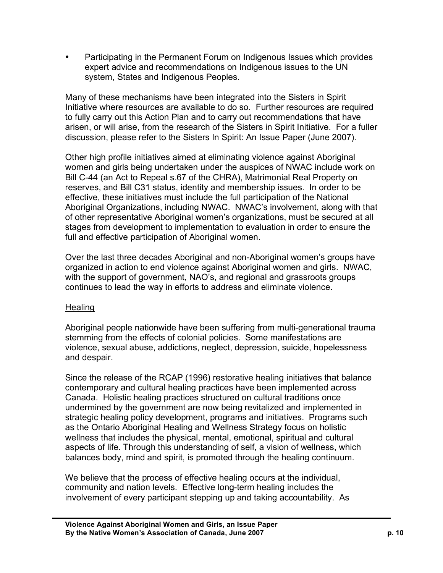• Participating in the Permanent Forum on Indigenous Issues which provides expert advice and recommendations on Indigenous issues to the UN system, States and Indigenous Peoples.

Many of these mechanisms have been integrated into the Sisters in Spirit Initiative where resources are available to do so. Further resources are required to fully carry out this Action Plan and to carry out recommendations that have arisen, or will arise, from the research of the Sisters in Spirit Initiative. For a fuller discussion, please refer to the Sisters In Spirit: An Issue Paper (June 2007).

Other high profile initiatives aimed at eliminating violence against Aboriginal women and girls being undertaken under the auspices of NWAC include work on Bill C-44 (an Act to Repeal s.67 of the CHRA), Matrimonial Real Property on reserves, and Bill C31 status, identity and membership issues. In order to be effective, these initiatives must include the full participation of the National Aboriginal Organizations, including NWAC. NWAC's involvement, along with that of other representative Aboriginal women's organizations, must be secured at all stages from development to implementation to evaluation in order to ensure the full and effective participation of Aboriginal women.

Over the last three decades Aboriginal and non-Aboriginal women's groups have organized in action to end violence against Aboriginal women and girls. NWAC, with the support of government, NAO's, and regional and grassroots groups continues to lead the way in efforts to address and eliminate violence.

### Healing

Aboriginal people nationwide have been suffering from multi-generational trauma stemming from the effects of colonial policies. Some manifestations are violence, sexual abuse, addictions, neglect, depression, suicide, hopelessness and despair.

Since the release of the RCAP (1996) restorative healing initiatives that balance contemporary and cultural healing practices have been implemented across Canada. Holistic healing practices structured on cultural traditions once undermined by the government are now being revitalized and implemented in strategic healing policy development, programs and initiatives. Programs such as the Ontario Aboriginal Healing and Wellness Strategy focus on holistic wellness that includes the physical, mental, emotional, spiritual and cultural aspects of life. Through this understanding of self, a vision of wellness, which balances body, mind and spirit, is promoted through the healing continuum.

We believe that the process of effective healing occurs at the individual, community and nation levels. Effective long-term healing includes the involvement of every participant stepping up and taking accountability. As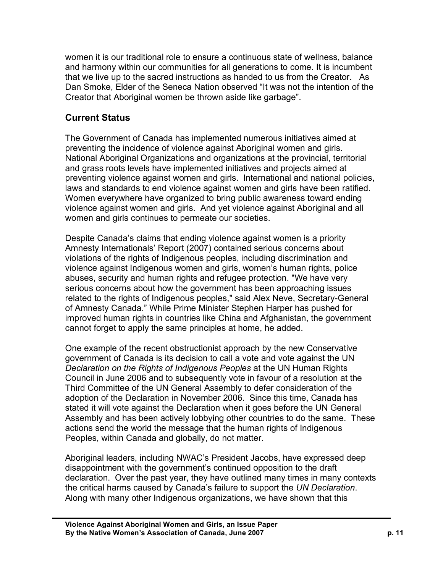women it is our traditional role to ensure a continuous state of wellness, balance and harmony within our communities for all generations to come. It is incumbent that we live up to the sacred instructions as handed to us from the Creator. As Dan Smoke, Elder of the Seneca Nation observed "It was not the intention of the Creator that Aboriginal women be thrown aside like garbage".

# **Current Status**

The Government of Canada has implemented numerous initiatives aimed at preventing the incidence of violence against Aboriginal women and girls. National Aboriginal Organizations and organizations at the provincial, territorial and grass roots levels have implemented initiatives and projects aimed at preventing violence against women and girls. International and national policies, laws and standards to end violence against women and girls have been ratified. Women everywhere have organized to bring public awareness toward ending violence against women and girls. And yet violence against Aboriginal and all women and girls continues to permeate our societies.

Despite Canada's claims that ending violence against women is a priority Amnesty Internationals' Report (2007) contained serious concerns about violations of the rights of Indigenous peoples, including discrimination and violence against Indigenous women and girls, women's human rights, police abuses, security and human rights and refugee protection. "We have very serious concerns about how the government has been approaching issues related to the rights of Indigenous peoples," said Alex Neve, Secretary-General of Amnesty Canada." While Prime Minister Stephen Harper has pushed for improved human rights in countries like China and Afghanistan, the government cannot forget to apply the same principles at home, he added.

One example of the recent obstructionist approach by the new Conservative government of Canada is its decision to call a vote and vote against the UN *Declaration on the Rights of Indigenous Peoples* at the UN Human Rights Council in June 2006 and to subsequently vote in favour of a resolution at the Third Committee of the UN General Assembly to defer consideration of the adoption of the Declaration in November 2006. Since this time, Canada has stated it will vote against the Declaration when it goes before the UN General Assembly and has been actively lobbying other countries to do the same. These actions send the world the message that the human rights of Indigenous Peoples, within Canada and globally, do not matter.

Aboriginal leaders, including NWAC's President Jacobs, have expressed deep disappointment with the government's continued opposition to the draft declaration. Over the past year, they have outlined many times in many contexts the critical harms caused by Canada's failure to support the *UN Declaration*. Along with many other Indigenous organizations, we have shown that this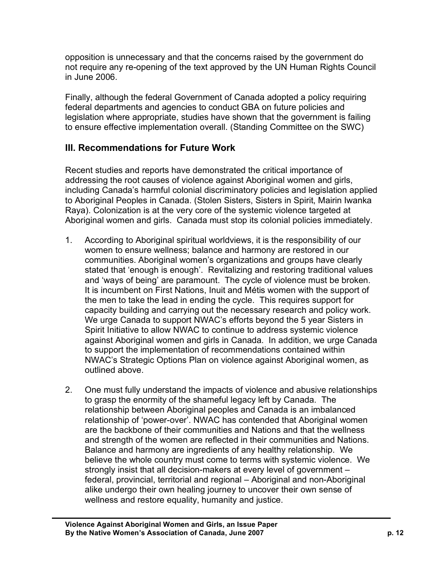opposition is unnecessary and that the concerns raised by the government do not require any re-opening of the text approved by the UN Human Rights Council in June 2006.

Finally, although the federal Government of Canada adopted a policy requiring federal departments and agencies to conduct GBA on future policies and legislation where appropriate, studies have shown that the government is failing to ensure effective implementation overall. (Standing Committee on the SWC)

# **III. Recommendations for Future Work**

Recent studies and reports have demonstrated the critical importance of addressing the root causes of violence against Aboriginal women and girls, including Canada's harmful colonial discriminatory policies and legislation applied to Aboriginal Peoples in Canada. (Stolen Sisters, Sisters in Spirit, Mairin Iwanka Raya). Colonization is at the very core of the systemic violence targeted at Aboriginal women and girls. Canada must stop its colonial policies immediately.

- 1. According to Aboriginal spiritual worldviews, it is the responsibility of our women to ensure wellness; balance and harmony are restored in our communities. Aboriginal women's organizations and groups have clearly stated that 'enough is enough'. Revitalizing and restoring traditional values and 'ways of being' are paramount. The cycle of violence must be broken. It is incumbent on First Nations, Inuit and Métis women with the support of the men to take the lead in ending the cycle. This requires support for capacity building and carrying out the necessary research and policy work. We urge Canada to support NWAC's efforts beyond the 5 year Sisters in Spirit Initiative to allow NWAC to continue to address systemic violence against Aboriginal women and girls in Canada. In addition, we urge Canada to support the implementation of recommendations contained within NWAC's Strategic Options Plan on violence against Aboriginal women, as outlined above.
- 2. One must fully understand the impacts of violence and abusive relationships to grasp the enormity of the shameful legacy left by Canada. The relationship between Aboriginal peoples and Canada is an imbalanced relationship of 'power-over'. NWAC has contended that Aboriginal women are the backbone of their communities and Nations and that the wellness and strength of the women are reflected in their communities and Nations. Balance and harmony are ingredients of any healthy relationship. We believe the whole country must come to terms with systemic violence. We strongly insist that all decision-makers at every level of government – federal, provincial, territorial and regional – Aboriginal and non-Aboriginal alike undergo their own healing journey to uncover their own sense of wellness and restore equality, humanity and justice.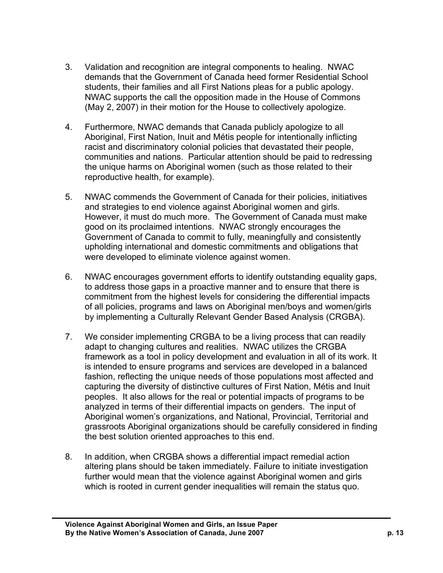- 3. Validation and recognition are integral components to healing. NWAC demands that the Government of Canada heed former Residential School students, their families and all First Nations pleas for a public apology. NWAC supports the call the opposition made in the House of Commons (May 2, 2007) in their motion for the House to collectively apologize.
- 4. Furthermore, NWAC demands that Canada publicly apologize to all Aboriginal, First Nation, Inuit and Métis people for intentionally inflicting racist and discriminatory colonial policies that devastated their people, communities and nations. Particular attention should be paid to redressing the unique harms on Aboriginal women (such as those related to their reproductive health, for example).
- 5. NWAC commends the Government of Canada for their policies, initiatives and strategies to end violence against Aboriginal women and girls. However, it must do much more. The Government of Canada must make good on its proclaimed intentions. NWAC strongly encourages the Government of Canada to commit to fully, meaningfully and consistently upholding international and domestic commitments and obligations that were developed to eliminate violence against women.
- 6. NWAC encourages government efforts to identify outstanding equality gaps, to address those gaps in a proactive manner and to ensure that there is commitment from the highest levels for considering the differential impacts of all policies, programs and laws on Aboriginal men/boys and women/girls by implementing a Culturally Relevant Gender Based Analysis (CRGBA).
- 7. We consider implementing CRGBA to be a living process that can readily adapt to changing cultures and realities. NWAC utilizes the CRGBA framework as a tool in policy development and evaluation in all of its work. It is intended to ensure programs and services are developed in a balanced fashion, reflecting the unique needs of those populations most affected and capturing the diversity of distinctive cultures of First Nation, Métis and Inuit peoples. It also allows for the real or potential impacts of programs to be analyzed in terms of their differential impacts on genders. The input of Aboriginal women's organizations, and National, Provincial, Territorial and grassroots Aboriginal organizations should be carefully considered in finding the best solution oriented approaches to this end.
- 8. In addition, when CRGBA shows a differential impact remedial action altering plans should be taken immediately. Failure to initiate investigation further would mean that the violence against Aboriginal women and girls which is rooted in current gender inequalities will remain the status quo.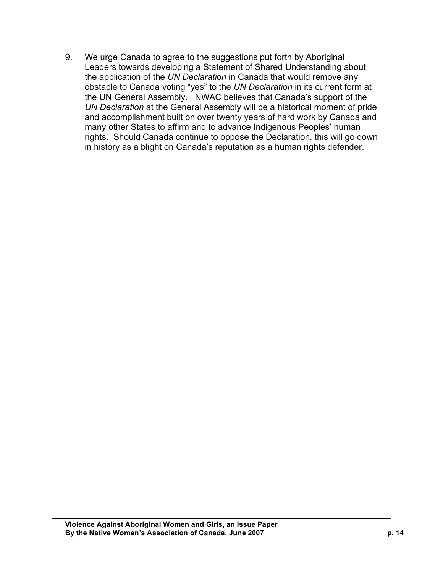9. We urge Canada to agree to the suggestions put forth by Aboriginal Leaders towards developing a Statement of Shared Understanding about the application of the *UN Declaration* in Canada that would remove any obstacle to Canada voting "yes" to the *UN Declaration* in its current form at the UN General Assembly. NWAC believes that Canada's support of the *UN Declaration* at the General Assembly will be a historical moment of pride and accomplishment built on over twenty years of hard work by Canada and many other States to affirm and to advance Indigenous Peoples' human rights. Should Canada continue to oppose the Declaration, this will go down in history as a blight on Canada's reputation as a human rights defender.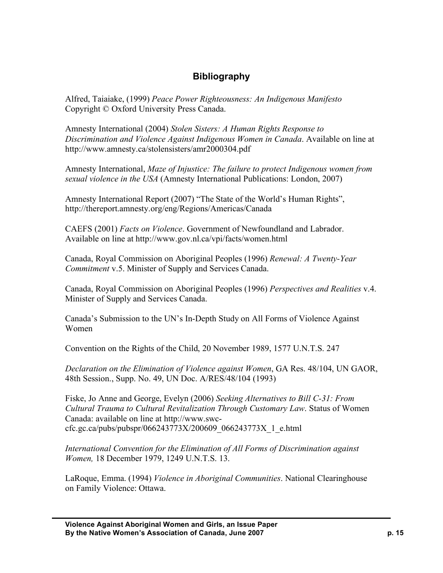# **Bibliography**

Alfred, Taiaiake, (1999) *Peace Power Righteousness: An Indigenous Manifesto* Copyright © Oxford University Press Canada.

Amnesty International (2004) *Stolen Sisters: A Human Rights Response to Discrimination and Violence Against Indigenous Women in Canada*. Available on line at http://www.amnesty.ca/stolensisters/amr2000304.pdf

Amnesty International, *Maze of Injustice: The failure to protect Indigenous women from sexual violence in the USA* (Amnesty International Publications: London, 2007)

Amnesty International Report (2007) "The State of the World's Human Rights", http://thereport.amnesty.org/eng/Regions/Americas/Canada

CAEFS (2001) *Facts on Violence*. Government of Newfoundland and Labrador. Available on line at http://www.gov.nl.ca/vpi/facts/women.html

Canada, Royal Commission on Aboriginal Peoples (1996) *Renewal: A Twenty-Year Commitment* v.5. Minister of Supply and Services Canada.

Canada, Royal Commission on Aboriginal Peoples (1996) *Perspectives and Realities* v.4. Minister of Supply and Services Canada.

Canada's Submission to the UN's In-Depth Study on All Forms of Violence Against Women

Convention on the Rights of the Child, 20 November 1989, 1577 U.N.T.S. 247

*Declaration on the Elimination of Violence against Women*, GA Res. 48/104, UN GAOR, 48th Session., Supp. No. 49, UN Doc. A/RES/48/104 (1993)

Fiske, Jo Anne and George, Evelyn (2006) *Seeking Alternatives to Bill C-31: From Cultural Trauma to Cultural Revitalization Through Customary Law*. Status of Women Canada: available on line at http://www.swccfc.gc.ca/pubs/pubspr/066243773X/200609\_066243773X\_1\_e.html

*International Convention for the Elimination of All Forms of Discrimination against Women,* 18 December 1979, 1249 U.N.T.S. 13.

LaRoque, Emma. (1994) *Violence in Aboriginal Communities*. National Clearinghouse on Family Violence: Ottawa.